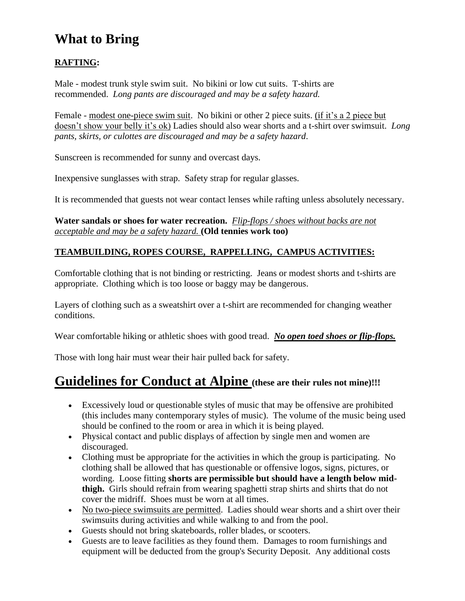## **What to Bring**

### **RAFTING:**

Male - modest trunk style swim suit. No bikini or low cut suits. T-shirts are recommended. *Long pants are discouraged and may be a safety hazard.*

Female - modest one-piece swim suit. No bikini or other 2 piece suits. (if it's a 2 piece but doesn't show your belly it's ok) Ladies should also wear shorts and a t-shirt over swimsuit. *Long pants, skirts, or culottes are discouraged and may be a safety hazard*.

Sunscreen is recommended for sunny and overcast days.

Inexpensive sunglasses with strap. Safety strap for regular glasses.

It is recommended that guests not wear contact lenses while rafting unless absolutely necessary.

#### **Water sandals or shoes for water recreation.** *Flip-flops / shoes without backs are not acceptable and may be a safety hazard.* **(Old tennies work too)**

### **TEAMBUILDING, ROPES COURSE, RAPPELLING, CAMPUS ACTIVITIES:**

Comfortable clothing that is not binding or restricting. Jeans or modest shorts and t-shirts are appropriate. Clothing which is too loose or baggy may be dangerous.

Layers of clothing such as a sweatshirt over a t-shirt are recommended for changing weather conditions.

Wear comfortable hiking or athletic shoes with good tread. *No open toed shoes or flip-flops.*

Those with long hair must wear their hair pulled back for safety.

### **Guidelines for Conduct at Alpine (these are their rules not mine)!!!**

- Excessively loud or questionable styles of music that may be offensive are prohibited (this includes many contemporary styles of music). The volume of the music being used should be confined to the room or area in which it is being played.
- Physical contact and public displays of affection by single men and women are discouraged.
- Clothing must be appropriate for the activities in which the group is participating. No clothing shall be allowed that has questionable or offensive logos, signs, pictures, or wording. Loose fitting **shorts are permissible but should have a length below midthigh.** Girls should refrain from wearing spaghetti strap shirts and shirts that do not cover the midriff. Shoes must be worn at all times.
- No two-piece swimsuits are permitted. Ladies should wear shorts and a shirt over their swimsuits during activities and while walking to and from the pool.
- Guests should not bring skateboards, roller blades, or scooters.
- Guests are to leave facilities as they found them. Damages to room furnishings and equipment will be deducted from the group's Security Deposit. Any additional costs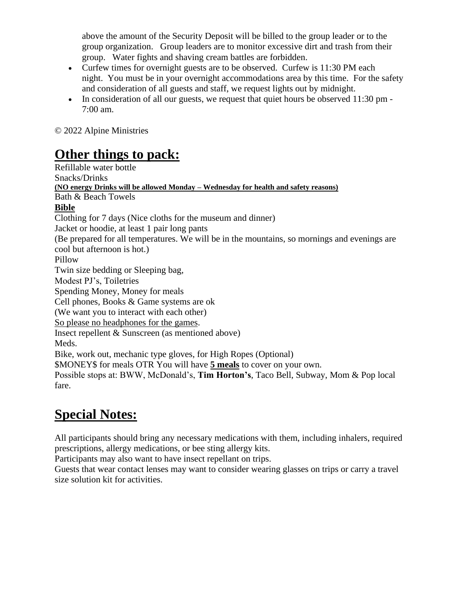above the amount of the Security Deposit will be billed to the group leader or to the group organization. Group leaders are to monitor excessive dirt and trash from their group. Water fights and shaving cream battles are forbidden.

- Curfew times for overnight guests are to be observed. Curfew is 11:30 PM each night. You must be in your overnight accommodations area by this time. For the safety and consideration of all guests and staff, we request lights out by midnight.
- In consideration of all our guests, we request that quiet hours be observed 11:30 pm 7:00 am.

© 2022 Alpine Ministries

## **Other things to pack:**

Refillable water bottle Snacks/Drinks **(NO energy Drinks will be allowed Monday – Wednesday for health and safety reasons)** Bath & Beach Towels **Bible** Clothing for 7 days (Nice cloths for the museum and dinner) Jacket or hoodie, at least 1 pair long pants (Be prepared for all temperatures. We will be in the mountains, so mornings and evenings are cool but afternoon is hot.) Pillow Twin size bedding or Sleeping bag, Modest PJ's, Toiletries Spending Money, Money for meals Cell phones, Books & Game systems are ok (We want you to interact with each other) So please no headphones for the games. Insect repellent & Sunscreen (as mentioned above) Meds. Bike, work out, mechanic type gloves, for High Ropes (Optional) \$MONEY\$ for meals OTR You will have **5 meals** to cover on your own. Possible stops at: BWW, McDonald's, **Tim Horton's**, Taco Bell, Subway, Mom & Pop local fare.

# **Special Notes:**

All participants should bring any necessary medications with them, including inhalers, required prescriptions, allergy medications, or bee sting allergy kits.

Participants may also want to have insect repellant on trips.

Guests that wear contact lenses may want to consider wearing glasses on trips or carry a travel size solution kit for activities.